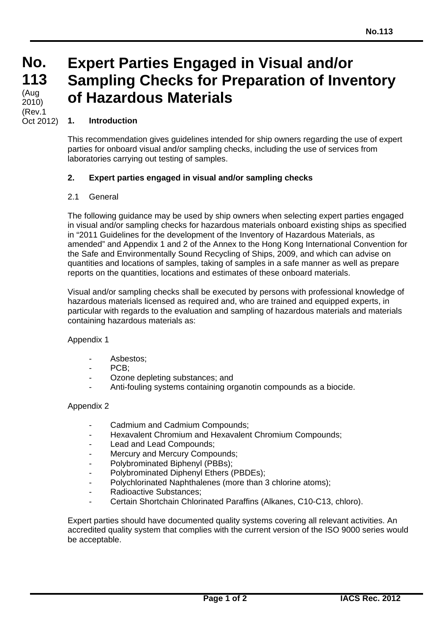**No. 113 113** (Aug 2010) (Rev.1 Oct 2012)

# **Expert Parties Engaged in Visual and/or Sampling Checks for Preparation of Inventory of Hazardous Materials**

# **1. Introduction**

This recommendation gives guidelines intended for ship owners regarding the use of expert parties for onboard visual and/or sampling checks, including the use of services from laboratories carrying out testing of samples.

## **2. Expert parties engaged in visual and/or sampling checks**

## 2.1 General

The following guidance may be used by ship owners when selecting expert parties engaged in visual and/or sampling checks for hazardous materials onboard existing ships as specified in "2011 Guidelines for the development of the Inventory of Hazardous Materials, as amended" and Appendix 1 and 2 of the Annex to the Hong Kong International Convention for the Safe and Environmentally Sound Recycling of Ships, 2009, and which can advise on quantities and locations of samples, taking of samples in a safe manner as well as prepare reports on the quantities, locations and estimates of these onboard materials.

Visual and/or sampling checks shall be executed by persons with professional knowledge of hazardous materials licensed as required and, who are trained and equipped experts, in particular with regards to the evaluation and sampling of hazardous materials and materials containing hazardous materials as:

### Appendix 1

- Asbestos;
- $PCB$
- Ozone depleting substances; and
- Anti-fouling systems containing organotin compounds as a biocide.

### Appendix 2

 $\overline{a}$ 

- Cadmium and Cadmium Compounds;
- Hexavalent Chromium and Hexavalent Chromium Compounds;
- Lead and Lead Compounds:
- Mercury and Mercury Compounds;
- Polybrominated Biphenyl (PBBs);
- Polybrominated Diphenyl Ethers (PBDEs);
- Polychlorinated Naphthalenes (more than 3 chlorine atoms);
- Radioactive Substances;
- Certain Shortchain Chlorinated Paraffins (Alkanes, C10-C13, chloro).

Expert parties should have documented quality systems covering all relevant activities. An accredited quality system that complies with the current version of the ISO 9000 series would be acceptable.